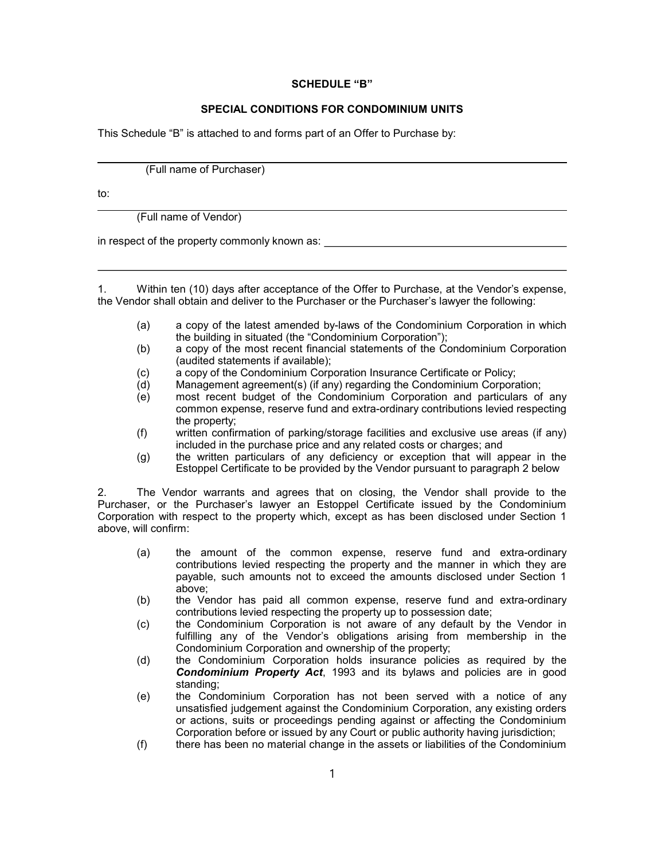## SCHEDULE "B"

## SPECIAL CONDITIONS FOR CONDOMINIUM UNITS

This Schedule "B" is attached to and forms part of an Offer to Purchase by:

(Full name of Purchaser)

to:

(Full name of Vendor)

in respect of the property commonly known as:

1. Within ten (10) days after acceptance of the Offer to Purchase, at the Vendor's expense, the Vendor shall obtain and deliver to the Purchaser or the Purchaser's lawyer the following:

- (a) a copy of the latest amended by-laws of the Condominium Corporation in which the building in situated (the "Condominium Corporation");
- (b) a copy of the most recent financial statements of the Condominium Corporation (audited statements if available);
- (c) a copy of the Condominium Corporation Insurance Certificate or Policy;<br>(d) Management agreement(s) (if any) regarding the Condominium Corpora
- (d) Management agreement(s) (if any) regarding the Condominium Corporation;
- most recent budget of the Condominium Corporation and particulars of any common expense, reserve fund and extra-ordinary contributions levied respecting the property;
- (f) written confirmation of parking/storage facilities and exclusive use areas (if any) included in the purchase price and any related costs or charges; and
- (g) the written particulars of any deficiency or exception that will appear in the Estoppel Certificate to be provided by the Vendor pursuant to paragraph 2 below

2. The Vendor warrants and agrees that on closing, the Vendor shall provide to the Purchaser, or the Purchaser's lawyer an Estoppel Certificate issued by the Condominium Corporation with respect to the property which, except as has been disclosed under Section 1 above, will confirm:

- (a) the amount of the common expense, reserve fund and extra-ordinary contributions levied respecting the property and the manner in which they are payable, such amounts not to exceed the amounts disclosed under Section 1 above;
- (b) the Vendor has paid all common expense, reserve fund and extra-ordinary contributions levied respecting the property up to possession date;
- (c) the Condominium Corporation is not aware of any default by the Vendor in fulfilling any of the Vendor's obligations arising from membership in the Condominium Corporation and ownership of the property;
- (d) the Condominium Corporation holds insurance policies as required by the Condominium Property Act, 1993 and its bylaws and policies are in good standing;
- (e) the Condominium Corporation has not been served with a notice of any unsatisfied judgement against the Condominium Corporation, any existing orders or actions, suits or proceedings pending against or affecting the Condominium Corporation before or issued by any Court or public authority having jurisdiction;
- (f) there has been no material change in the assets or liabilities of the Condominium